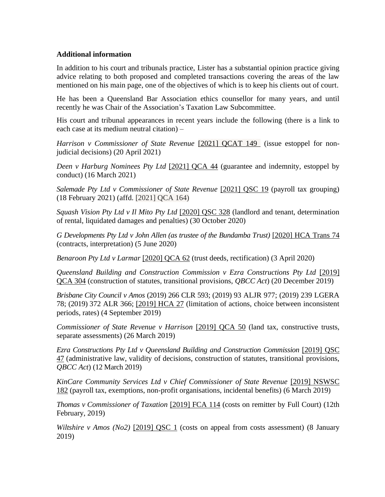## **Additional information**

In addition to his court and tribunals practice, Lister has a substantial opinion practice giving advice relating to both proposed and completed transactions covering the areas of the law mentioned on his main page, one of the objectives of which is to keep his clients out of court.

He has been a Queensland Bar Association ethics counsellor for many years, and until recently he was Chair of the Association's Taxation Law Subcommittee.

His court and tribunal appearances in recent years include the following (there is a link to each case at its medium neutral citation) –

*Harrison v Commissioner of State Revenue* [\[2021\] QCAT 149](https://www.sclqld.org.au/caselaw/QCAT/2021/149) (issue estoppel for nonjudicial decisions) (20 April 2021)

*Deen v Harburg Nominees Pty Ltd* [2021] QCA 44 [\(guarantee and indemnity, estoppel by](http://www.austlii.edu.au/cgi-bin/viewdoc/au/cases/qld/QCA/2021/44.html)  [conduct\) \(16 March 2021\)](http://www.austlii.edu.au/cgi-bin/viewdoc/au/cases/qld/QCA/2021/44.html)

*Salemade [Pty Ltd v Commissioner of State Revenue](http://www.austlii.edu.au/cgi-bin/viewdoc/au/cases/qld/QSC/2021/19.html)* [2021] QSC 19 (payroll tax grouping) [\(18 February 2021\)](http://www.austlii.edu.au/cgi-bin/viewdoc/au/cases/qld/QSC/2021/19.html) (affd. [2021] QCA 164)

*[Squash Vision Pty Ltd v Il Mito Pty Ltd](http://www.austlii.edu.au/cgi-bin/viewdoc/au/cases/qld/QSC/2020/328.html)* [2020] QSC 328 (landlord and tenant, determination of rental, liquidated damages and penalties) (30 October 2020)

*G Developments Pty Ltd v John Allen (as trustee of the Bundamba Trust)* [\[2020\] HCA](http://www6.austlii.edu.au/au/other/HCATrans/2020/74.html) Trans 74 [\(contracts, interpretation\) \(5 June 2020\)](http://www6.austlii.edu.au/au/other/HCATrans/2020/74.html)

*[Benaroon Pty Ltd v Larmar](https://www.austlii.edu.au/cgi-bin/LawCite?cit=%5b2020%5d%20QCA%2062)* [\[2020\] QCA 62](http://www.austlii.edu.au/cgi-bin/sinodisp/au/cases/qld/QCA/2020/62.html) (trust deeds, rectification) (3 April 2020)

*Queensland Building and Construction Commission v Ezra Constructions Pty Ltd* [2019] [QCA 304](http://www.austlii.edu.au/cgi-bin/sinodisp/au/cases/qld/QCA/2019/304.html?query=) (construction of statutes, transitional provisions, *QBCC Act*) (20 December 2019)

*Brisbane City Council v Amos* (2019) 266 CLR 593; (2019) 93 ALJR 977; (2019) 239 LGERA 78; (2019) 372 ALR 366; [\[2019\] HCA 27](http://www.austlii.edu.au/cgi-bin/sinodisp/au/cases/cth/HCA/2019/27.html?query=) (limitation of actions, choice between inconsistent periods, rates) (4 September 2019)

*Commissioner of State Revenue v Harrison* [\[2019\] QCA 50](http://www.austlii.edu.au/cgi-bin/sinodisp/au/cases/qld/QCA/2019/50.html) (land tax, constructive trusts, separate assessments) (26 March 2019)

*Ezra Constructions Pty Ltd v Queensland Building and Construction Commission* [\[2019\] QSC](http://www.austlii.edu.au/cgi-bin/sinodisp/au/cases/qld/QSC/2019/47.html)  [47](http://www.austlii.edu.au/cgi-bin/sinodisp/au/cases/qld/QSC/2019/47.html) (administrative law, validity of decisions, construction of statutes, transitional provisions, *QBCC Act*) (12 March 2019)

*KinCare Community Services Ltd v Chief Commissioner of State Revenue* [\[2019\] NSWSC](http://www.austlii.edu.au/cgi-bin/sinodisp/au/cases/nsw/NSWSC/2019/182.html?query=)  [182](http://www.austlii.edu.au/cgi-bin/sinodisp/au/cases/nsw/NSWSC/2019/182.html?query=) (payroll tax, exemptions, non-profit organisations, incidental benefits) (6 March 2019)

*Thomas v Commissioner of Taxation* [\[2019\] FCA 114](http://www.austlii.edu.au/cgi-bin/sinodisp/au/cases/cth/FCA/2019/114.html?query=) (costs on remitter by Full Court) (12th February, 2019)

*[Wiltshire v Amos \(No2\)](http://www.austlii.edu.au/cgi-bin/LawCite?cit=%5b2019%5d%20QSC%201)* [\[2019\] QSC 1](http://www.austlii.edu.au/cgi-bin/sinodisp/au/cases/qld/QSC/2019/1.html?query=) (costs on appeal from costs assessment) (8 January 2019)